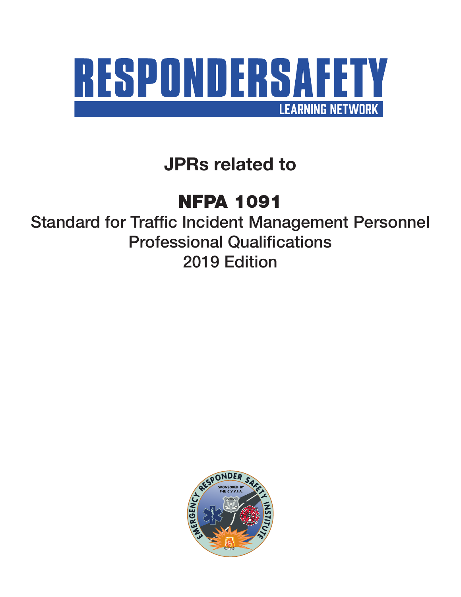

**JPRs related to**

# NFPA 1091

Standard for Traffic Incident Management Personnel Professional Qualifications 2019 Edition

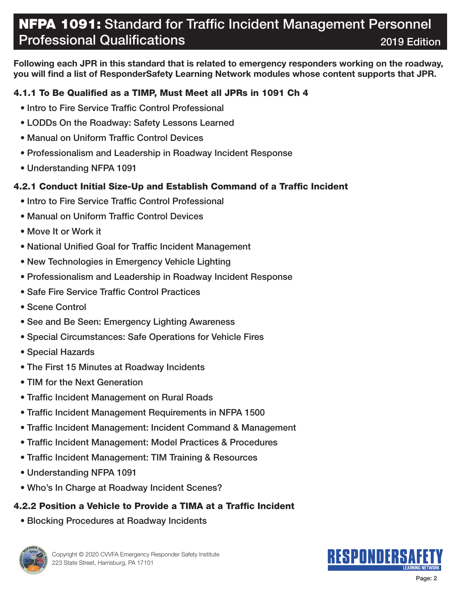**Following each JPR in this standard that is related to emergency responders working on the roadway, you will find a list of ResponderSafety Learning Network modules whose content supports that JPR.**

### 4.1.1 To Be Qualified as a TIMP, Must Meet all JPRs in 1091 Ch 4

- Intro to Fire Service Traffic Control Professional
- LODDs On the Roadway: Safety Lessons Learned
- Manual on Uniform Traffic Control Devices
- Professionalism and Leadership in Roadway Incident Response
- Understanding NFPA 1091

### 4.2.1 Conduct Initial Size-Up and Establish Command of a Traffic Incident

- Intro to Fire Service Traffic Control Professional
- Manual on Uniform Traffic Control Devices
- Move It or Work it
- National Unified Goal for Traffic Incident Management
- New Technologies in Emergency Vehicle Lighting
- Professionalism and Leadership in Roadway Incident Response
- Safe Fire Service Traffic Control Practices
- Scene Control
- See and Be Seen: Emergency Lighting Awareness
- Special Circumstances: Safe Operations for Vehicle Fires
- Special Hazards
- The First 15 Minutes at Roadway Incidents
- TIM for the Next Generation
- Traffic Incident Management on Rural Roads
- Traffic Incident Management Requirements in NFPA 1500
- Traffic Incident Management: Incident Command & Management
- Traffic Incident Management: Model Practices & Procedures
- Traffic Incident Management: TIM Training & Resources
- Understanding NFPA 1091
- Who's In Charge at Roadway Incident Scenes?

### 4.2.2 Position a Vehicle to Provide a TIMA at a Traffic Incident

• Blocking Procedures at Roadway Incidents



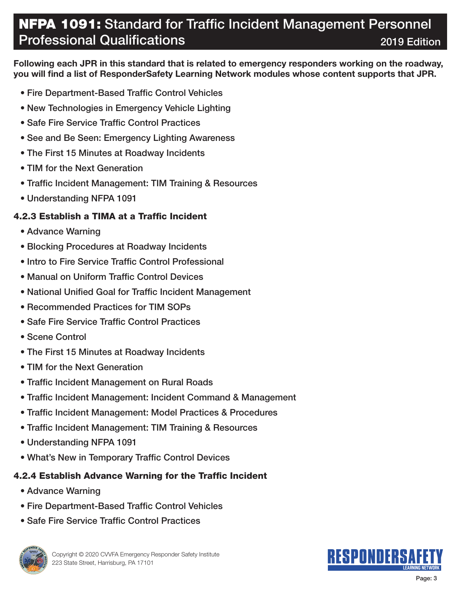**Following each JPR in this standard that is related to emergency responders working on the roadway, you will find a list of ResponderSafety Learning Network modules whose content supports that JPR.**

- Fire Department-Based Traffic Control Vehicles
- New Technologies in Emergency Vehicle Lighting
- Safe Fire Service Traffic Control Practices
- See and Be Seen: Emergency Lighting Awareness
- The First 15 Minutes at Roadway Incidents
- TIM for the Next Generation
- Traffic Incident Management: TIM Training & Resources
- Understanding NFPA 1091

### 4.2.3 Establish a TIMA at a Traffic Incident

- Advance Warning
- Blocking Procedures at Roadway Incidents
- Intro to Fire Service Traffic Control Professional
- Manual on Uniform Traffic Control Devices
- National Unified Goal for Traffic Incident Management
- Recommended Practices for TIM SOPs
- Safe Fire Service Traffic Control Practices
- Scene Control
- The First 15 Minutes at Roadway Incidents
- TIM for the Next Generation
- Traffic Incident Management on Rural Roads
- Traffic Incident Management: Incident Command & Management
- Traffic Incident Management: Model Practices & Procedures
- Traffic Incident Management: TIM Training & Resources
- Understanding NFPA 1091
- What's New in Temporary Traffic Control Devices

### 4.2.4 Establish Advance Warning for the Traffic Incident

- Advance Warning
- Fire Department-Based Traffic Control Vehicles
- Safe Fire Service Traffic Control Practices



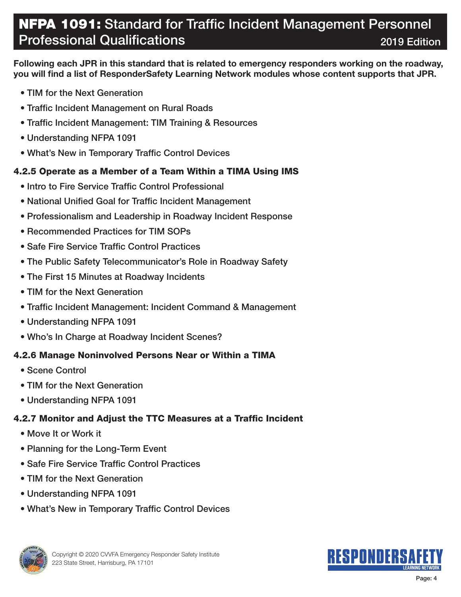**Following each JPR in this standard that is related to emergency responders working on the roadway, you will find a list of ResponderSafety Learning Network modules whose content supports that JPR.**

- TIM for the Next Generation
- Traffic Incident Management on Rural Roads
- Traffic Incident Management: TIM Training & Resources
- Understanding NFPA 1091
- What's New in Temporary Traffic Control Devices

### 4.2.5 Operate as a Member of a Team Within a TIMA Using IMS

- Intro to Fire Service Traffic Control Professional
- National Unified Goal for Traffic Incident Management
- Professionalism and Leadership in Roadway Incident Response
- Recommended Practices for TIM SOPs
- Safe Fire Service Traffic Control Practices
- The Public Safety Telecommunicator's Role in Roadway Safety
- The First 15 Minutes at Roadway Incidents
- TIM for the Next Generation
- Traffic Incident Management: Incident Command & Management
- Understanding NFPA 1091
- Who's In Charge at Roadway Incident Scenes?

### 4.2.6 Manage Noninvolved Persons Near or Within a TIMA

- Scene Control
- TIM for the Next Generation
- Understanding NFPA 1091

### 4.2.7 Monitor and Adjust the TTC Measures at a Traffic Incident

- Move It or Work it
- Planning for the Long-Term Event
- Safe Fire Service Traffic Control Practices
- TIM for the Next Generation
- Understanding NFPA 1091
- What's New in Temporary Traffic Control Devices